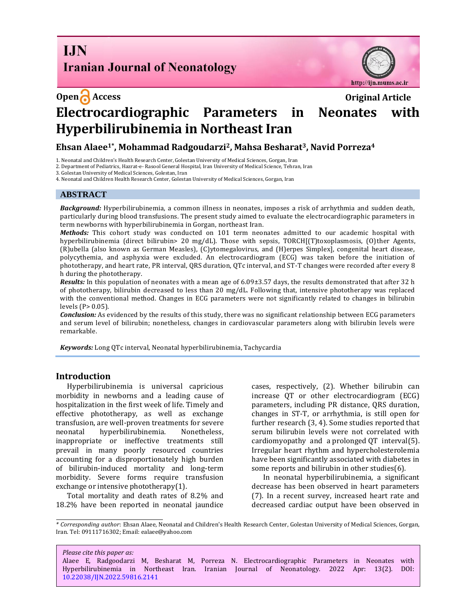**I.IN Iranian Journal of Neonatology** 



# **Open Access Original Article Electrocardiographic Parameters in Neonates with Hyperbilirubinemia in Northeast Iran**

# **Ehsan Alaee1\*, Mohammad Radgoudarzi2, Mahsa Besharat3, Navid Porreza<sup>4</sup>**

1. Neonatal and Children's Health Research Center, Golestan University of Medical Sciences, Gorgan, Iran

2. Department of Pediatrics, Hazrat-e- Rasool General Hospital, Iran University of Medical Science, Tehran, Iran

3. Golestan University of Medical Sciences, Golestan, Iran

4. Neonatal and Children Health Research Center, Golestan University of Medical Sciences, Gorgan, Iran

# **ABSTRACT**

*Background:* Hyperbilirubinemia, a common illness in neonates, imposes a risk of arrhythmia and sudden death, particularly during blood transfusions. The present study aimed to evaluate the electrocardiographic parameters in term newborns with hyperbilirubinemia in Gorgan, northeast Iran.

*Methods:* This cohort study was conducted on 101 term neonates admitted to our academic hospital with hyperbilirubinemia (direct bilirubin> 20 mg/dL). Those with sepsis, TORCH[(T)toxoplasmosis, (O)ther Agents, (R)ubella (also known as German Measles), (C)ytomegalovirus, and (H)erpes Simplex], congenital heart disease, polycythemia, and asphyxia were excluded. An electrocardiogram (ECG) was taken before the initiation of phototherapy, and heart rate, PR interval, QRS duration, QTc interval, and ST-T changes were recorded after every 8 h during the phototherapy.

*Results:* In this population of neonates with a mean age of 6.09±3.57 days, the results demonstrated that after 32 h of phototherapy, bilirubin decreased to less than 20 mg/dL. Following that, intensive phototherapy was replaced with the conventional method. Changes in ECG parameters were not significantly related to changes in bilirubin levels (P> 0.05).

*Conclusion:* As evidenced by the results of this study, there was no significant relationship between ECG parameters and serum level of bilirubin; nonetheless, changes in cardiovascular parameters along with bilirubin levels were remarkable.

*Keywords:* Long QTc interval, Neonatal hyperbilirubinemia, Tachycardia

# **Introduction**

Hyperbilirubinemia is universal capricious morbidity in newborns and a leading cause of hospitalization in the first week of life. Timely and effective phototherapy, as well as exchange transfusion, are well-proven treatments for severe neonatal hyperbilirubinemia. Nonetheless, inappropriate or ineffective treatments still prevail in many poorly resourced countries accounting for a disproportionately high burden of bilirubin-induced mortality and long-term morbidity. Severe forms require transfusion exchange or intensive phototherapy[\(1\)](#page-4-0).

Total mortality and death rates of 8.2% and 18.2% have been reported in neonatal jaundice cases, respectively, [\(2\)](#page-4-1). Whether bilirubin can increase QT or other electrocardiogram (ECG) parameters, including PR distance, QRS duration, changes in ST-T, or arrhythmia, is still open for further research [\(3,](#page-4-2) [4\)](#page-4-3). Some studies reported that serum bilirubin levels were not correlated with cardiomyopathy and a prolonged QT interval[\(5\)](#page-4-4). Irregular heart rhythm and hypercholesterolemia have been significantly associated with diabetes in some reports and bilirubin in other studies[\(6\)](#page-4-5).

In neonatal hyperbilirubinemia, a significant decrease has been observed in heart parameters [\(7\)](#page-4-6). In a recent survey, increased heart rate and decreased cardiac output have been observed in

*Please cite this paper as:* Alaee E, Radgoodarzi M, Besharat M, Porreza N. Electrocardiographic Parameters in Neonates with Hyperbilirubinemia in Northeast Iran. Iranian Journal of Neonatology. 2022 Apr: 13(2). DOI: [10.22038/IJN.2022.59816.2141](https://ijn.mums.ac.ir/)

*<sup>\*</sup> Corresponding author*: Ehsan Alaee, Neonatal and Children's Health Research Center, Golestan University of Medical Sciences, Gorgan, Iran. Tel: 09111716302; Email[: ealaee@yahoo.com](mailto:ealaee@yahoo.com)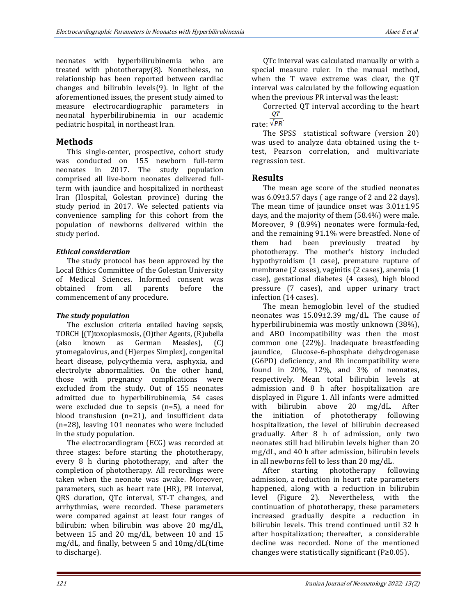neonates with hyperbilirubinemia who are treated with phototherapy[\(8\)](#page-4-7). Nonetheless, no relationship has been reported between cardiac changes and bilirubin levels[\(9\)](#page-4-8). In light of the aforementioned issues, the present study aimed to measure electrocardiographic parameters in neonatal hyperbilirubinemia in our academic pediatric hospital, in northeast Iran.

#### **Methods**

This single-center, prospective, cohort study was conducted on 155 newborn full-term neonates in 2017. The study population comprised all live-born neonates delivered fullterm with jaundice and hospitalized in northeast Iran (Hospital, Golestan province) during the study period in 2017. We selected patients via convenience sampling for this cohort from the population of newborns delivered within the study period.

#### *Ethical consideration*

The study protocol has been approved by the Local Ethics Committee of the Golestan University of Medical Sciences. Informed consent was<br>obtained from all parents before the obtained from all parents before the commencement of any procedure.

#### *The study population*

The exclusion criteria entailed having sepsis, TORCH [(T)toxoplasmosis, (O)ther Agents, (R)ubella (also known as German Measles), (C) ytomegalovirus, and (H)erpes Simplex], congenital heart disease, polycythemia vera, asphyxia, and electrolyte abnormalities. On the other hand, those with pregnancy complications were excluded from the study. Out of 155 neonates admitted due to hyperbilirubinemia, 54 cases were excluded due to sepsis (n=5), a need for blood transfusion (n=21), and insufficient data (n=28), leaving 101 neonates who were included in the study population.

The electrocardiogram (ECG) was recorded at three stages: before starting the phototherapy, every 8 h during phototherapy, and after the completion of phototherapy. All recordings were taken when the neonate was awake. Moreover, parameters, such as heart rate (HR), PR interval, QRS duration, QTc interval, ST-T changes, and arrhythmias, were recorded. These parameters were compared against at least four ranges of bilirubin: when bilirubin was above 20 mg/dL, between 15 and 20 mg/dL, between 10 and 15 mg/dL, and finally, between 5 and 10mg/dL(time to discharge).

QTc interval was calculated manually or with a special measure ruler. In the manual method, when the T wave extreme was clear, the QT interval was calculated by the following equation when the previous PR interval was the least:

Corrected QT interval according to the heart  $\frac{or}{or}$ 

rate:  $\sqrt{PR}$ 

The SPSS statistical software (version 20) was used to analyze data obtained using the ttest, Pearson correlation, and multivariate regression test.

#### **Results**

The mean age score of the studied neonates was 6.09±3.57 days ( age range of 2 and 22 days). The mean time of jaundice onset was 3.01±1.95 days, and the majority of them (58.4%) were male. Moreover, 9 (8.9%) neonates were formula-fed, and the remaining 91.1% were breastfed. None of them had been previously treated by phototherapy. The mother's history included hypothyroidism (1 case), premature rupture of membrane (2 cases), vaginitis (2 cases), anemia (1 case), gestational diabetes (4 cases), high blood pressure (7 cases), and upper urinary tract infection (14 cases).

The mean hemoglobin level of the studied neonates was 15.09±2.39 mg/dL. The cause of hyperbilirubinemia was mostly unknown (38%), and ABO incompatibility was then the most common one (22%). Inadequate breastfeeding jaundice, Glucose-6-phosphate dehydrogenase (G6PD) deficiency, and Rh incompatibility were found in 20%, 12%, and 3% of neonates, respectively. Mean total bilirubin levels at admission and 8 h after hospitalization are displayed in Figure 1. All infants were admitted with bilirubin above 20 mg/dL. After the initiation of phototherapy following hospitalization, the level of bilirubin decreased gradually. After 8 h of admission, only two neonates still had bilirubin levels higher than 20 mg/dL, and 40 h after admission, bilirubin levels in all newborns fell to less than 20 mg/dL.

After starting phototherapy following admission, a reduction in heart rate parameters happened, along with a reduction in bilirubin level (Figure 2). Nevertheless, with the continuation of phototherapy, these parameters increased gradually despite a reduction in bilirubin levels. This trend continued until 32 h after hospitalization; thereafter, a considerable decline was recorded. None of the mentioned changes were statistically significant (P≥0.05).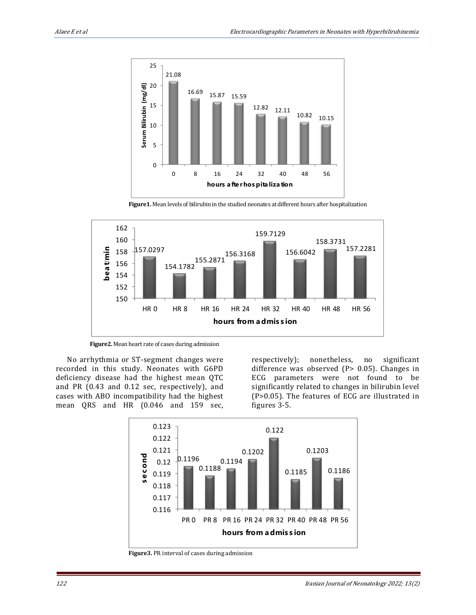

 **Figure1.** Mean levels of bilirubin in the studied neonates at different hours after hospitalization



 **Figure2.** Mean heart rate of cases during admission

No arrhythmia or ST-segment changes were recorded in this study. Neonates with G6PD deficiency disease had the highest mean QTC and PR (0.43 and 0.12 sec, respectively), and cases with ABO incompatibility had the highest mean QRS and HR (0.046 and 159 sec,

respectively); nonetheless, no significant difference was observed (P> 0.05). Changes in ECG parameters were not found to be significantly related to changes in bilirubin level (P>0.05). The features of ECG are illustrated in figures 3-5.



 **Figure3.** PR interval of cases during admission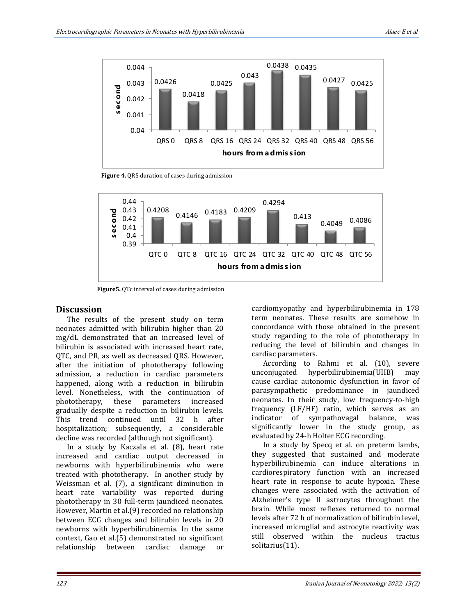

 **Figure 4.** QRS duration of cases during admission



 **Figure5.** QTc interval of cases during admission

#### **Discussion**

The results of the present study on term neonates admitted with bilirubin higher than 20 mg/dL demonstrated that an increased level of bilirubin is associated with increased heart rate, QTC, and PR, as well as decreased QRS. However, after the initiation of phototherapy following admission, a reduction in cardiac parameters happened, along with a reduction in bilirubin level. Nonetheless, with the continuation of phototherapy, these parameters increased gradually despite a reduction in bilirubin levels. This trend continued until 32 h after hospitalization; subsequently, a considerable decline was recorded (although not significant).

In a study by Kaczala et al. [\(8\)](#page-4-7), heart rate increased and cardiac output decreased in newborns with hyperbilirubinemia who were treated with phototherapy. In another study by Weissman et al. [\(7\)](#page-4-6), a significant diminution in heart rate variability was reported during phototherapy in 30 full-term jaundiced neonates. However, Martin et al.[\(9\)](#page-4-8) recorded no relationship between ECG changes and bilirubin levels in 20 newborns with hyperbilirubinemia. In the same context, Gao et al.[\(5\)](#page-4-4) demonstrated no significant relationship between cardiac damage or

cardiomyopathy and hyperbilirubinemia in 178 term neonates. These results are somehow in concordance with those obtained in the present study regarding to the role of phototherapy in reducing the level of bilirubin and changes in cardiac parameters.

According to Rahmi et al. [\(10\)](#page-4-9), severe unconjugated hyperbilirubinemia(UHB) may cause cardiac autonomic dysfunction in favor of parasympathetic predominance in jaundiced neonates. In their study, low frequency-to-high frequency (LF/HF) ratio, which serves as an indicator of sympathovagal balance, was significantly lower in the study group, as evaluated by 24-h Holter ECG recording.

In a study by Specq et al. on preterm lambs, they suggested that sustained and moderate hyperbilirubinemia can induce alterations in cardiorespiratory function with an increased heart rate in response to acute hypoxia. These changes were associated with the activation of Alzheimer's type II astrocytes throughout the brain. While most reflexes returned to normal levels after 72 h of normalization of bilirubin level, increased microglial and astrocyte reactivity was still observed within the nucleus tractus solitarius[\(11\)](#page-4-10).